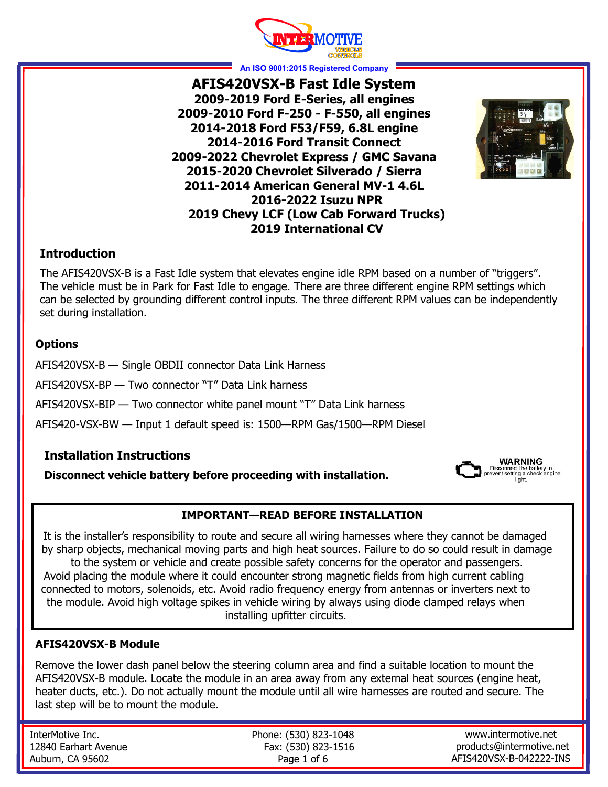

**An ISO 9001:2015 Registered Company**

**AFIS420VSX-B Fast Idle System 2009-2019 Ford E-Series, all engines 2009-2010 Ford F-250 - F-550, all engines 2014-2018 Ford F53/F59, 6.8L engine 2014-2016 Ford Transit Connect 2009-2022 Chevrolet Express / GMC Savana 2015-2020 Chevrolet Silverado / Sierra 2011-2014 American General MV-1 4.6L 2016-2022 Isuzu NPR 2019 Chevy LCF (Low Cab Forward Trucks) 2019 International CV**



#### **Introduction**

The AFIS420VSX-B is a Fast Idle system that elevates engine idle RPM based on a number of "triggers". The vehicle must be in Park for Fast Idle to engage. There are three different engine RPM settings which can be selected by grounding different control inputs. The three different RPM values can be independently set during installation.

#### **Options**

AFIS420VSX-B — Single OBDII connector Data Link Harness

AFIS420VSX-BP — Two connector "T" Data Link harness

AFIS420VSX-BIP — Two connector white panel mount "T" Data Link harness

AFIS420-VSX-BW — Input 1 default speed is: 1500—RPM Gas/1500—RPM Diesel

#### **Installation Instructions**

**Disconnect vehicle battery before proceeding with installation.**



### **IMPORTANT—READ BEFORE INSTALLATION**

It is the installer's responsibility to route and secure all wiring harnesses where they cannot be damaged by sharp objects, mechanical moving parts and high heat sources. Failure to do so could result in damage to the system or vehicle and create possible safety concerns for the operator and passengers. Avoid placing the module where it could encounter strong magnetic fields from high current cabling connected to motors, solenoids, etc. Avoid radio frequency energy from antennas or inverters next to the module. Avoid high voltage spikes in vehicle wiring by always using diode clamped relays when installing upfitter circuits.

#### **AFIS420VSX-B Module**

Remove the lower dash panel below the steering column area and find a suitable location to mount the AFIS420VSX-B module. Locate the module in an area away from any external heat sources (engine heat, heater ducts, etc.). Do not actually mount the module until all wire harnesses are routed and secure. The last step will be to mount the module.

InterMotive Inc. 12840 Earhart Avenue Auburn, CA 95602

Phone: (530) 823-1048 Fax: (530) 823-1516 Page 1 of 6

www.intermotive.net products@intermotive.net AFIS420VSX-B-042222-INS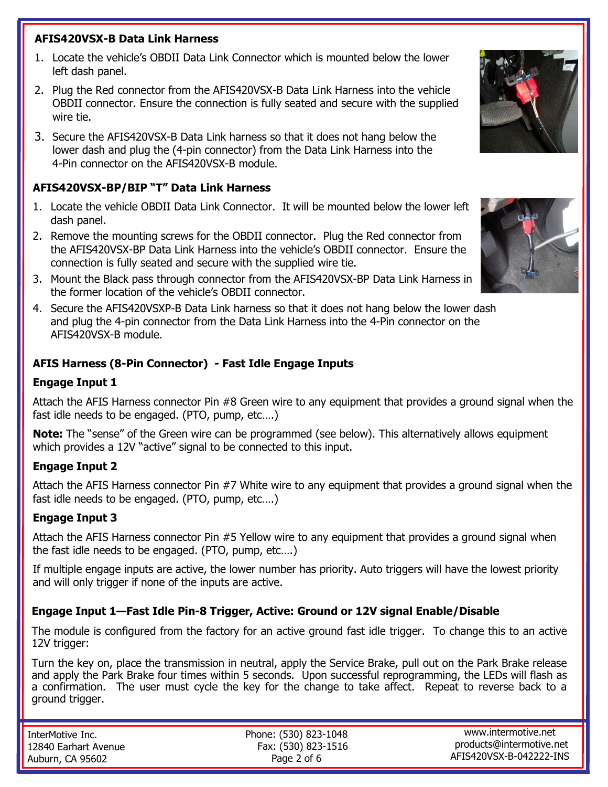### **AFIS420VSX-B Data Link Harness**

- 1. Locate the vehicle's OBDII Data Link Connector which is mounted below the lower left dash panel.
- 2. Plug the Red connector from the AFIS420VSX-B Data Link Harness into the vehicle OBDII connector. Ensure the connection is fully seated and secure with the supplied wire tie.
- 3. Secure the AFIS420VSX-B Data Link harness so that it does not hang below the lower dash and plug the (4-pin connector) from the Data Link Harness into the 4-Pin connector on the AFIS420VSX-B module.

#### **AFIS420VSX-BP/BIP "T" Data Link Harness**

- 1. Locate the vehicle OBDII Data Link Connector. It will be mounted below the lower left dash panel.
- 2. Remove the mounting screws for the OBDII connector. Plug the Red connector from the AFIS420VSX-BP Data Link Harness into the vehicle's OBDII connector. Ensure the connection is fully seated and secure with the supplied wire tie.
- 3. Mount the Black pass through connector from the AFIS420VSX-BP Data Link Harness in the former location of the vehicle's OBDII connector.
- 4. Secure the AFIS420VSXP-B Data Link harness so that it does not hang below the lower dash and plug the 4-pin connector from the Data Link Harness into the 4-Pin connector on the AFIS420VSX-B module.

# **AFIS Harness (8-Pin Connector) - Fast Idle Engage Inputs**

#### **Engage Input 1**

Attach the AFIS Harness connector Pin #8 Green wire to any equipment that provides a ground signal when the fast idle needs to be engaged. (PTO, pump, etc….)

**Note:** The "sense" of the Green wire can be programmed (see below). This alternatively allows equipment which provides a 12V "active" signal to be connected to this input.

### **Engage Input 2**

Attach the AFIS Harness connector Pin #7 White wire to any equipment that provides a ground signal when the fast idle needs to be engaged. (PTO, pump, etc….)

### **Engage Input 3**

Attach the AFIS Harness connector Pin #5 Yellow wire to any equipment that provides a ground signal when the fast idle needs to be engaged. (PTO, pump, etc….)

If multiple engage inputs are active, the lower number has priority. Auto triggers will have the lowest priority and will only trigger if none of the inputs are active.

### **Engage Input 1—Fast Idle Pin-8 Trigger, Active: Ground or 12V signal Enable/Disable**

The module is configured from the factory for an active ground fast idle trigger. To change this to an active 12V trigger:

Turn the key on, place the transmission in neutral, apply the Service Brake, pull out on the Park Brake release and apply the Park Brake four times within 5 seconds. Upon successful reprogramming, the LEDs will flash as a confirmation. The user must cycle the key for the change to take affect. Repeat to reverse back to a ground trigger.

| InterMotive Inc.     | Phone: (530) 823-1048 | www.intermotive.net                                 |
|----------------------|-----------------------|-----------------------------------------------------|
| 12840 Earhart Avenue | Fax: (530) 823-1516   | products@intermotive.net<br>AFIS420VSX-B-042222-INS |
| Auburn, CA 95602     | Page 2 of 6           |                                                     |



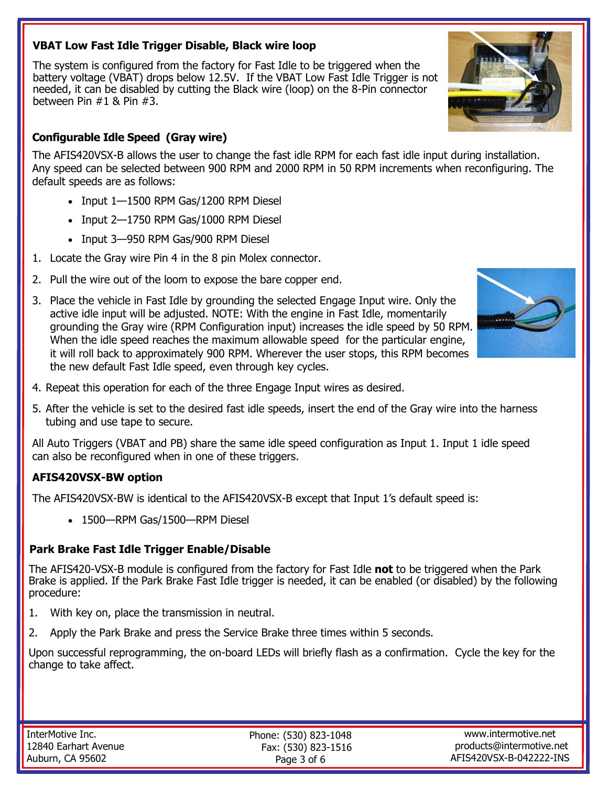### **VBAT Low Fast Idle Trigger Disable, Black wire loop**

The system is configured from the factory for Fast Idle to be triggered when the battery voltage (VBAT) drops below 12.5V. If the VBAT Low Fast Idle Trigger is not needed, it can be disabled by cutting the Black wire (loop) on the 8-Pin connector between Pin #1 & Pin #3.

### **Configurable Idle Speed (Gray wire)**

The AFIS420VSX-B allows the user to change the fast idle RPM for each fast idle input during installation. Any speed can be selected between 900 RPM and 2000 RPM in 50 RPM increments when reconfiguring. The default speeds are as follows:

- Input 1-1500 RPM Gas/1200 RPM Diesel
- Input 2-1750 RPM Gas/1000 RPM Diesel
- Input 3-950 RPM Gas/900 RPM Diesel
- 1. Locate the Gray wire Pin 4 in the 8 pin Molex connector.
- 2. Pull the wire out of the loom to expose the bare copper end.
- 3. Place the vehicle in Fast Idle by grounding the selected Engage Input wire. Only the active idle input will be adjusted. NOTE: With the engine in Fast Idle, momentarily grounding the Gray wire (RPM Configuration input) increases the idle speed by 50 RPM. When the idle speed reaches the maximum allowable speed for the particular engine, it will roll back to approximately 900 RPM. Wherever the user stops, this RPM becomes the new default Fast Idle speed, even through key cycles.



- 4. Repeat this operation for each of the three Engage Input wires as desired.
- 5. After the vehicle is set to the desired fast idle speeds, insert the end of the Gray wire into the harness tubing and use tape to secure.

All Auto Triggers (VBAT and PB) share the same idle speed configuration as Input 1. Input 1 idle speed can also be reconfigured when in one of these triggers.

### **AFIS420VSX-BW option**

The AFIS420VSX-BW is identical to the AFIS420VSX-B except that Input 1's default speed is:

• 1500—RPM Gas/1500—RPM Diesel

#### **Park Brake Fast Idle Trigger Enable/Disable**

The AFIS420-VSX-B module is configured from the factory for Fast Idle **not** to be triggered when the Park Brake is applied. If the Park Brake Fast Idle trigger is needed, it can be enabled (or disabled) by the following procedure:

- 1. With key on, place the transmission in neutral.
- 2. Apply the Park Brake and press the Service Brake three times within 5 seconds.

Upon successful reprogramming, the on-board LEDs will briefly flash as a confirmation. Cycle the key for the change to take affect.

| InterMotive Inc.     |  |  |  |
|----------------------|--|--|--|
| 12840 Earhart Avenue |  |  |  |
| Auburn, CA 95602     |  |  |  |

Phone: (530) 823-1048 Fax: (530) 823-1516 Page 3 of 6

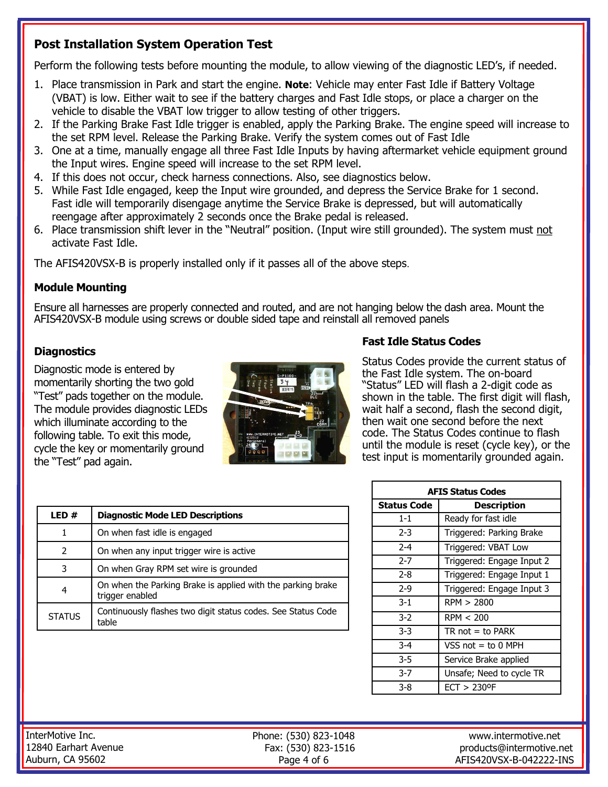# **Post Installation System Operation Test**

Perform the following tests before mounting the module, to allow viewing of the diagnostic LED's, if needed.

- 1. Place transmission in Park and start the engine. **Note**: Vehicle may enter Fast Idle if Battery Voltage (VBAT) is low. Either wait to see if the battery charges and Fast Idle stops, or place a charger on the vehicle to disable the VBAT low trigger to allow testing of other triggers.
- 2. If the Parking Brake Fast Idle trigger is enabled, apply the Parking Brake. The engine speed will increase to the set RPM level. Release the Parking Brake. Verify the system comes out of Fast Idle
- 3. One at a time, manually engage all three Fast Idle Inputs by having aftermarket vehicle equipment ground the Input wires. Engine speed will increase to the set RPM level.
- 4. If this does not occur, check harness connections. Also, see diagnostics below.
- 5. While Fast Idle engaged, keep the Input wire grounded, and depress the Service Brake for 1 second. Fast idle will temporarily disengage anytime the Service Brake is depressed, but will automatically reengage after approximately 2 seconds once the Brake pedal is released.
- 6. Place transmission shift lever in the "Neutral" position. (Input wire still grounded). The system must not activate Fast Idle.

The AFIS420VSX-B is properly installed only if it passes all of the above steps.

### **Module Mounting**

Ensure all harnesses are properly connected and routed, and are not hanging below the dash area. Mount the AFIS420VSX-B module using screws or double sided tape and reinstall all removed panels

## **Diagnostics**

Diagnostic mode is entered by momentarily shorting the two gold "Test" pads together on the module. The module provides diagnostic LEDs which illuminate according to the following table. To exit this mode, cycle the key or momentarily ground the "Test" pad again.



## **Fast Idle Status Codes**

Status Codes provide the current status of the Fast Idle system. The on-board "Status" LED will flash a 2-digit code as shown in the table. The first digit will flash, wait half a second, flash the second digit, then wait one second before the next code. The Status Codes continue to flash until the module is reset (cycle key), or the test input is momentarily grounded again.

| LED#          | <b>Diagnostic Mode LED Descriptions</b>                                        |  |
|---------------|--------------------------------------------------------------------------------|--|
| 1             | On when fast idle is engaged                                                   |  |
| $\mathcal{P}$ | On when any input trigger wire is active                                       |  |
| 3             | On when Gray RPM set wire is grounded                                          |  |
| 4             | On when the Parking Brake is applied with the parking brake<br>trigger enabled |  |
| <b>STATUS</b> | Continuously flashes two digit status codes. See Status Code<br>table          |  |

| <b>AFIS Status Codes</b> |                            |  |  |  |
|--------------------------|----------------------------|--|--|--|
| Status Code              | <b>Description</b>         |  |  |  |
| $1 - 1$                  | Ready for fast idle        |  |  |  |
| 2-3                      | Triggered: Parking Brake   |  |  |  |
| $2 - 4$                  | Triggered: VBAT Low        |  |  |  |
| $2 - 7$                  | Triggered: Engage Input 2  |  |  |  |
| $2 - 8$                  | Triggered: Engage Input 1  |  |  |  |
| $2-9$                    | Triggered: Engage Input 3  |  |  |  |
| $3-1$                    | RPM > 2800                 |  |  |  |
| $3-2$                    | RPM < 200                  |  |  |  |
| $3-3$                    | $TR$ not = to PARK         |  |  |  |
| $3-4$                    | VSS not $=$ to 0 MPH       |  |  |  |
| $3 - 5$                  | Service Brake applied      |  |  |  |
| $3 - 7$                  | Unsafe; Need to cycle TR   |  |  |  |
| 3-8                      | $ECT > 230$ <sup>o</sup> F |  |  |  |

InterMotive Inc. 12840 Earhart Avenue Auburn, CA 95602

Phone: (530) 823-1048 Fax: (530) 823-1516 Page 4 of 6

www.intermotive.net products@intermotive.net AFIS420VSX-B-042222-INS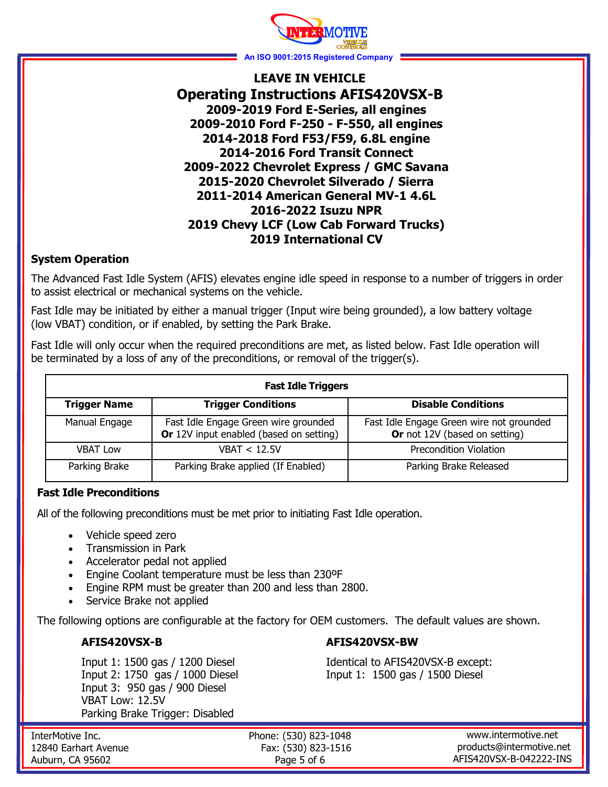

## **LEAVE IN VEHICLE Operating Instructions AFIS420VSX-B 2009-2019 Ford E-Series, all engines 2009-2010 Ford F-250 - F-550, all engines 2014-2018 Ford F53/F59, 6.8L engine 2014-2016 Ford Transit Connect 2009-2022 Chevrolet Express / GMC Savana 2015-2020 Chevrolet Silverado / Sierra 2011-2014 American General MV-1 4.6L 2016-2022 Isuzu NPR 2019 Chevy LCF (Low Cab Forward Trucks) 2019 International CV**

#### **System Operation**

The Advanced Fast Idle System (AFIS) elevates engine idle speed in response to a number of triggers in order to assist electrical or mechanical systems on the vehicle.

Fast Idle may be initiated by either a manual trigger (Input wire being grounded), a low battery voltage (low VBAT) condition, or if enabled, by setting the Park Brake.

Fast Idle will only occur when the required preconditions are met, as listed below. Fast Idle operation will be terminated by a loss of any of the preconditions, or removal of the trigger(s).

| <b>Fast Idle Triggers</b> |                                                                                 |                                                                           |  |  |
|---------------------------|---------------------------------------------------------------------------------|---------------------------------------------------------------------------|--|--|
| <b>Trigger Name</b>       | <b>Trigger Conditions</b>                                                       | <b>Disable Conditions</b>                                                 |  |  |
| Manual Engage             | Fast Idle Engage Green wire grounded<br>Or 12V input enabled (based on setting) | Fast Idle Engage Green wire not grounded<br>Or not 12V (based on setting) |  |  |
| <b>VBAT Low</b>           | VBAT < 12.5V                                                                    | <b>Precondition Violation</b>                                             |  |  |
| Parking Brake             | Parking Brake applied (If Enabled)                                              | Parking Brake Released                                                    |  |  |

#### **Fast Idle Preconditions**

All of the following preconditions must be met prior to initiating Fast Idle operation.

- Vehicle speed zero
- Transmission in Park
- Accelerator pedal not applied
- Engine Coolant temperature must be less than 230ºF
- Engine RPM must be greater than 200 and less than 2800.
- Service Brake not applied

The following options are configurable at the factory for OEM customers. The default values are shown.

### **AFIS420VSX-B**

Input 1: 1500 gas / 1200 Diesel Input 2: 1750 gas / 1000 Diesel Input 3: 950 gas / 900 Diesel VBAT Low: 12.5V Parking Brake Trigger: Disabled

**AFIS420VSX-BW** 

Identical to AFIS420VSX-B except: Input 1: 1500 gas / 1500 Diesel

InterMotive Inc. 12840 Earhart Avenue Auburn, CA 95602

Phone: (530) 823-1048 Fax: (530) 823-1516 Page 5 of 6

www.intermotive.net products@intermotive.net AFIS420VSX-B-042222-INS